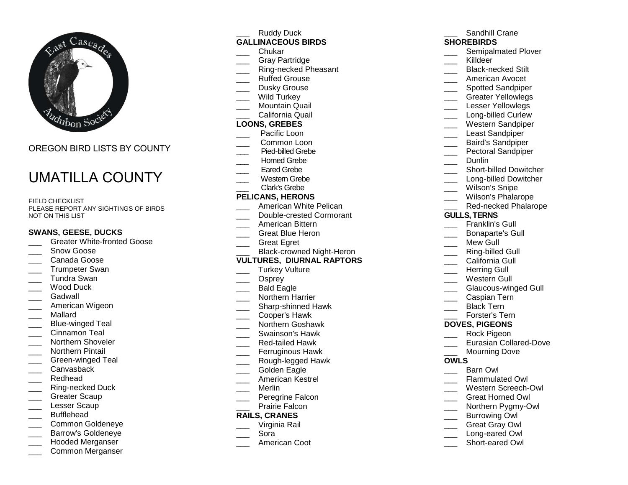

# OREGON BIRD LISTS BY COUNTY

# UMATILLA COUNTY

FIELD CHECKLIST PLEASE REPORT ANY SIGHTINGS OF BIRDS NOT ON THIS LIST

#### **SWANS, GEESE, DUCKS**

- \_\_\_ Greater White-fronted Goose
- Snow Goose
- \_\_\_ Canada Goose
- \_\_\_ Trumpeter Swan
- \_\_\_ Tundra Swan
- Wood Duck
- Gadwall
- \_\_\_ American Wigeon
- \_\_\_ Mallard
- \_\_\_ Blue-winged Teal
- Cinnamon Teal
- \_\_\_ Northern Shoveler
- \_\_\_ Northern Pintail
- \_\_\_ Green-winged Teal
- \_\_\_ Canvasback
- Redhead
- \_\_\_ Ring-necked Duck
- Greater Scaup
- Lesser Scaup
- Bufflehead
- \_\_\_ Common Goldeneye
- \_\_\_ Barrow's Goldeneye
- \_\_\_ Hooded Merganser
- \_\_\_ Common Merganser

Ruddy Duck **GALLINACEOUS BIRDS**

- \_\_\_ Chukar
- \_\_\_ Gray Partridge
- \_\_\_ Ring-necked Pheasant
- Ruffed Grouse
- Dusky Grouse
- Wild Turkey
- \_\_\_ Mountain Quail
- \_\_\_ California Quail

# **LOONS, GREBES**

- \_\_\_ Pacific Loon
- \_\_\_ Common Loon **\_\_\_** Pied-billed Grebe
- Horned Grebe
- Eared Grebe
- \_\_\_ Western Grebe
- Clark's Grebe

#### **PELICANS, HERONS**

- \_\_\_ American White Pelican
- \_\_\_ Double-crested Cormorant
- \_\_\_ American Bittern
- \_\_\_ Great Blue Heron
- \_\_\_ Great Egret
- \_\_\_ Black-crowned Night-Heron

#### **VULTURES, DIURNAL RAPTORS**

- Turkey Vulture
- \_\_\_ Osprey
- \_\_\_ Bald Eagle
- \_\_\_ Northern Harrier
- \_\_\_\_ Sharp-shinned Hawk
- \_\_\_ Cooper's Hawk
- \_\_\_ Northern Goshawk
- \_\_\_ Swainson's Hawk
- \_\_\_ Red-tailed Hawk
- \_\_\_ Ferruginous Hawk
- \_\_\_ Rough-legged Hawk
- Golden Eagle
- \_\_\_ American Kestrel
- \_\_\_ Merlin
- \_\_\_ Peregrine Falcon
- Prairie Falcon

## **RAILS, CRANES**

- \_\_\_ Virginia Rail
- \_\_\_ Sora
- \_\_\_ American Coot

#### Sandhill Crane **SHOREBIRDS** \_\_\_ Semipalmated Plover Killdeer \_\_\_\_ Black-necked Stilt \_\_\_ American Avocet \_\_\_\_ Spotted Sandpiper

- \_\_\_ Greater Yellowlegs
- Lesser Yellowlegs
- \_\_\_\_ Long-billed Curlew
- \_\_\_ Western Sandpiper
- Least Sandpiper
- \_\_\_ Baird's Sandpiper
- \_\_\_ Pectoral Sandpiper
- Dunlin
- \_\_\_\_ Short-billed Dowitcher
- \_\_\_\_ Long-billed Dowitcher
- Wilson's Snipe
- \_\_\_ Wilson's Phalarope
- \_\_\_ Red-necked Phalarope

#### **GULLS, TERNS**

- \_\_\_ Franklin's Gull
- \_\_\_ Bonaparte's Gull
- Mew Gull
- \_\_\_ Ring-billed Gull
- California Gull
- Herring Gull
- \_\_\_ Western Gull
- 
- \_\_\_ Glaucous-winged Gull

 \_\_\_ Eurasian Collared-Dove Mourning Dove

- \_\_\_ Caspian Tern
- Black Tern
- \_\_\_ Forster's Tern**DOVES, PIGEONS**

\_\_\_ Rock Pigeon

Barn Owl \_\_\_ Flammulated Owl \_\_\_ Western Screech-Owl \_\_\_ Great Horned Owl \_\_\_ Northern Pygmy-Owl Burrowing Owl \_\_\_ Great Gray Owl \_\_\_ Long-eared Owl \_\_\_ Short-eared Owl

**OWLS**